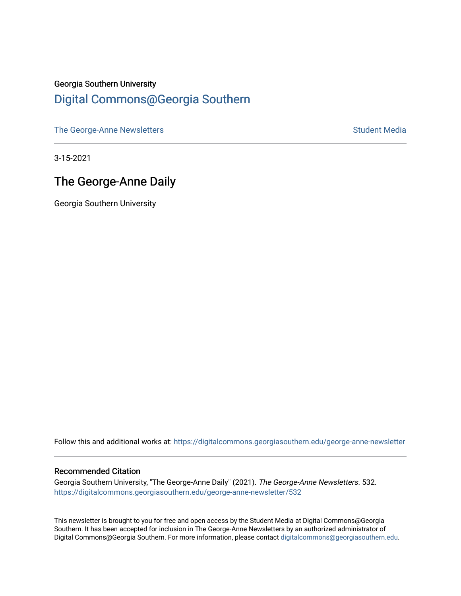## Georgia Southern University [Digital Commons@Georgia Southern](https://digitalcommons.georgiasouthern.edu/)

[The George-Anne Newsletters](https://digitalcommons.georgiasouthern.edu/george-anne-newsletter) **Student Media** Student Media

3-15-2021

## The George-Anne Daily

Georgia Southern University

Follow this and additional works at: [https://digitalcommons.georgiasouthern.edu/george-anne-newsletter](https://digitalcommons.georgiasouthern.edu/george-anne-newsletter?utm_source=digitalcommons.georgiasouthern.edu%2Fgeorge-anne-newsletter%2F532&utm_medium=PDF&utm_campaign=PDFCoverPages)

#### Recommended Citation

Georgia Southern University, "The George-Anne Daily" (2021). The George-Anne Newsletters. 532. [https://digitalcommons.georgiasouthern.edu/george-anne-newsletter/532](https://digitalcommons.georgiasouthern.edu/george-anne-newsletter/532?utm_source=digitalcommons.georgiasouthern.edu%2Fgeorge-anne-newsletter%2F532&utm_medium=PDF&utm_campaign=PDFCoverPages) 

This newsletter is brought to you for free and open access by the Student Media at Digital Commons@Georgia Southern. It has been accepted for inclusion in The George-Anne Newsletters by an authorized administrator of Digital Commons@Georgia Southern. For more information, please contact [digitalcommons@georgiasouthern.edu.](mailto:digitalcommons@georgiasouthern.edu)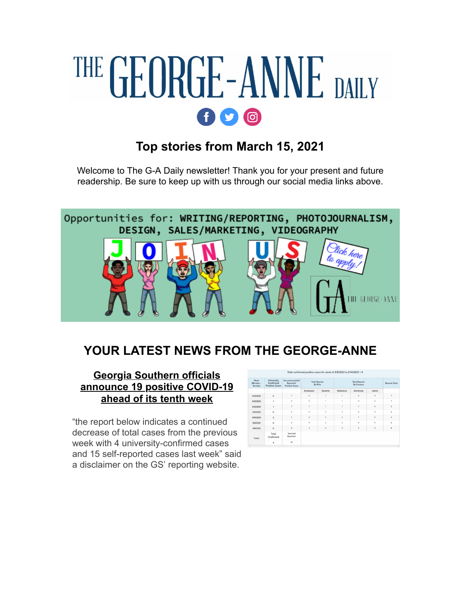# THE GEORGE-ANNE DAILY  $f$  $q$  $q$  $q$

# **Top stories from March 15, 2021**

Welcome to The G-A Daily newsletter! Thank you for your present and future readership. Be sure to keep up with us through our social media links above.



# **YOUR LATEST NEWS FROM THE GEORGE-ANNE**

### **Georgia Southern officials [announce 19 positive COVID-19](http://r20.rs6.net/tn.jsp?f=001vq45ehJv6iAPnYt8ryrXLMXA0KgnSCV7299uy939FepKOp2cnHVXFI90vaa9Bl-_Y2AAprpCELRUmO-VC6ED5CiyWHGV9qtGcJE1zQjs_ylrURr6_U-7LfqYxal9o5LkCUbYuxRs8qvnfqhWhxOnI-7SRxtlYR91QAimqvATS_eLNb9qDOh7enOrANNDZlywp00uIzm7lplbCm6ZKUV-LVmNGXJQMcUFNPMST2IWUSOmFkb-B4ML6x4vxEMVwAuHR5eNgZniM-ReTDnwYAHqlQ==&c=yRsO49KgJyVigMbA7IHdph1lJkh2QgfNQ1fOGwMejMEGeAKgq3HCrw==&ch=6qCwhMRfVBLYiqKxFEJO8uPsIVhvx9-rtIXZhROaZydaoD9w-eAmbA==) ahead of its tenth week**

"the report below indicates a continued decrease of total cases from the previous week with 4 university-confirmed cases and 15 self-reported cases last week" said a disclaimer on the GS' reporting website.

| Week<br>(Monday -<br>Sunday) | <b>University</b><br>Confirmed<br><b>Positive Cases</b> | <b>Unconfirmed Self</b><br>Reported <sup>*</sup><br><b>Positive Cases</b> | <b>Total Reports</b><br>By Role |                         | <b>Total Reports</b><br><b>By Campus</b> |                         |         | <b>Reports Total</b> |
|------------------------------|---------------------------------------------------------|---------------------------------------------------------------------------|---------------------------------|-------------------------|------------------------------------------|-------------------------|---------|----------------------|
|                              |                                                         |                                                                           | Employees                       | Students                | Statesboro                               | Armstrong               | Liberty |                      |
| 3/14/2021                    | $\circ$                                                 |                                                                           | ö                               |                         |                                          | $\mathbf{o}$            | $\circ$ |                      |
| 3/13/2021                    |                                                         | $\circ$                                                                   | ö                               | f,                      | ï                                        | $\circ$                 | $\circ$ |                      |
| 3/12/2021                    |                                                         |                                                                           |                                 |                         |                                          |                         | $\circ$ | $\overline{a}$       |
| 3/11/2021                    | $\circ$                                                 | $\overline{\mathbf{z}}$                                                   | ö                               | $\overline{\mathbf{z}}$ | $\overline{\mathbf{z}}$                  | $\circ$                 | $\circ$ | ä                    |
| 3/10/2021                    | $\overline{a}$                                          |                                                                           | $\circ$                         | $\overline{a}$          | $\overline{a}$                           |                         | $\circ$ | $\overline{a}$       |
| 3/9/2021                     | $\Omega$                                                | $\overline{a}$                                                            | ö                               | $\overline{z}$          | $\overline{a}$                           | $\alpha$                | $\circ$ | $\overline{a}$       |
| 3/8/2021                     | $\circ$                                                 | $\overline{8}$                                                            | $\overline{a}$                  | $\ddot{\rm s}$          | 5                                        | $\overline{\mathbf{3}}$ | $\circ$ | s                    |
| <b>Totals</b>                | <b>Total</b><br>Confirmed                               | <b>Total Self</b><br>Reported*                                            |                                 |                         |                                          |                         |         |                      |
|                              | 4                                                       | 15                                                                        |                                 |                         |                                          |                         |         |                      |